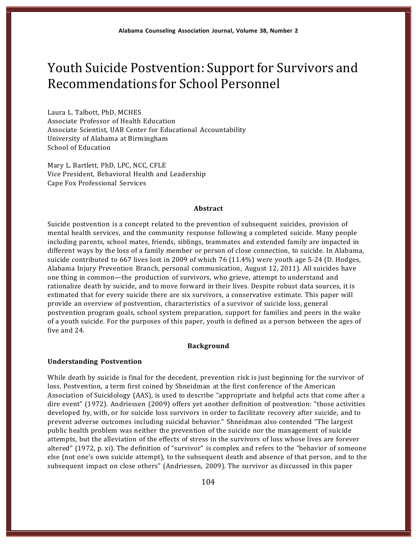# Youth Suicide Postvention: Support for Survivors and Recommendations for School Personnel

Laura L. Talbott, PhD, MCHES Associate Professor of Health Education Associate Scientist, UAB Center for Educational Accountability University of Alabama at Birmingham School of Education

Mary L. Bartlett, PhD, LPC, NCC, CFLE Vice President, Behavioral Health and Leadership Cape Fox Professional Services

#### **Abstract**

Suicide postvention is a concept related to the prevention of subsequent suicides, provision of mental health services, and the community response following a completed suicide. Many people including parents, school mates, friends, siblings, teammates and extended family are impacted in different ways by the loss of a family member or person of close connection, to suicide. In Alabama, suicide contributed to 667 lives lost in 2009 of which 76  $(11.4\%)$  were youth age 5-24 (D. Hodges, Alabama Injury Prevention Branch, personal communication, August 12, 2011). All suicides have one thing in common—the production of survivors, who grieve, attempt to understand and rationalize death by suicide, and to move forward in their lives. Despite robust data sources, it is estimated that for every suicide there are six survivors, a conservative estimate. This paper will provide an overview of postvention, characteristics of a survivor of suicide loss, general postvention program goals, school system preparation, support for families and peers in the wake of a youth suicide. For the purposes of this paper, youth is defined as a person between the ages of five and 24.

#### **Background**

#### **Understanding Postvention**

While death by suicide is final for the decedent, prevention risk is just beginning for the survivor of loss. Postvention, a term first coined by Shneidman at the first conference of the American Association of Suicidology (AAS), is used to describe "appropriate and helpful acts that come after a dire event" (1972). Andriessen (2009) offers yet another definition of postvention: "those activities developed by, with, or for suicide loss survivors in order to facilitate recovery after suicide, and to prevent adverse outcomes including suicidal behavior." Shneidman also contended "The largest public health problem was neither the prevention of the suicide nor the management of suicide attempts, but the alleviation of the effects of stress in the survivors of loss whose lives are forever altered" (1972, p. xi). The definition of "survivor" is complex and refers to the "behavior of someone else (not one's own suicide attempt), to the subsequent death and absence of that person, and to the subsequent impact on close others" (Andriessen, 2009). The survivor as discussed in this paper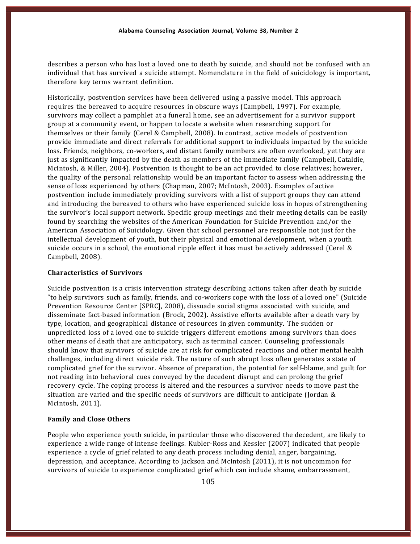describes a person who has lost a loved one to death by suicide, and should not be confused with an individual that has survived a suicide attempt. Nomenclature in the field of suicidology is important, therefore key terms warrant definition.

Historically, postvention services have been delivered using a passive model. This approach requires the bereaved to acquire resources in obscure ways (Campbell, 1997). For example, survivors may collect a pamphlet at a funeral home, see an advertisement for a survivor support group at a community event, or happen to locate a website when researching support for themselves or their family (Cerel & Campbell, 2008). In contrast, active models of postvention provide immediate and direct referrals for additional support to individuals impacted by the suicide loss. Friends, neighbors, co-workers, and distant family members are often overlooked, yet they are just as significantly impacted by the death as members of the immediate family (Campbell, Cataldie, McIntosh, & Miller, 2004). Postvention is thought to be an act provided to close relatives; however, the quality of the personal relationship would be an important factor to assess when addressing the sense of loss experienced by others (Chapman, 2007; McIntosh, 2003). Examples of active postvention include immediately providing survivors with a list of support groups they can attend and introducing the bereaved to others who have experienced suicide loss in hopes of strengthening the survivor's local support network. Specific group meetings and their meeting details can be easily found by searching the websites of the American Foundation for Suicide Prevention and/or the American Association of Suicidology. Given that school personnel are responsible not just for the intellectual development of youth, but their physical and emotional development, when a youth suicide occurs in a school, the emotional ripple effect it has must be actively addressed (Cerel  $\&$ Campbell, 2008).

#### **Characteristics of Survivors**

Suicide postvention is a crisis intervention strategy describing actions taken after death by suicide "to help survivors such as family, friends, and co-workers cope with the loss of a loved one" (Suicide Prevention Resource Center [SPRC], 2008), dissuade social stigma associated with suicide, and disseminate fact-based information (Brock, 2002). Assistive efforts available after a death vary by type, location, and geographical distance of resources in given community. The sudden or unpredicted loss of a loved one to suicide triggers different emotions among survivors than does other means of death that are anticipatory, such as terminal cancer. Counseling professionals should know that survivors of suicide are at risk for complicated reactions and other mental health challenges, including direct suicide risk. The nature of such abrupt loss often generates a state of complicated grief for the survivor. Absence of preparation, the potential for self-blame, and guilt for not reading into behavioral cues conveyed by the decedent disrupt and can prolong the grief recovery cycle. The coping process is altered and the resources a survivor needs to move past the situation are varied and the specific needs of survivors are difficult to anticipate (Jordan & McIntosh, 2011).

# **Family and Close Others**

People who experience youth suicide, in particular those who discovered the decedent, are likely to experience a wide range of intense feelings. Kubler-Ross and Kessler (2007) indicated that people experience a cycle of grief related to any death process including denial, anger, bargaining, depression, and acceptance. According to Jackson and McIntosh (2011), it is not uncommon for survivors of suicide to experience complicated grief which can include shame, embarrassment,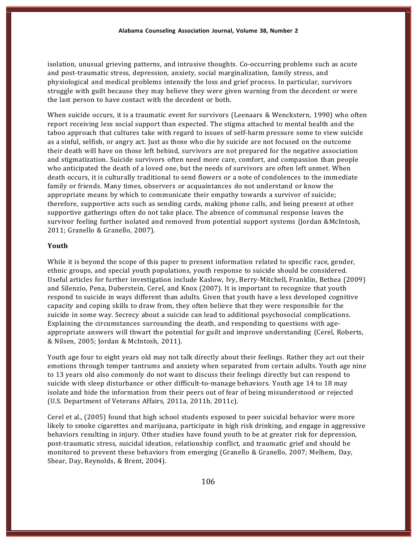isolation, unusual grieving patterns, and intrusive thoughts. Co-occurring problems such as acute and post-traumatic stress, depression, anxiety, social marginalization, family stress, and physiological and medical problems intensify the loss and grief process. In particular, survivors struggle with guilt because they may believe they were given warning from the decedent or were the last person to have contact with the decedent or both.

When suicide occurs, it is a traumatic event for survivors (Leenaars & Wenckstern, 1990) who often report receiving less social support than expected. The stigma attached to mental health and the taboo approach that cultures take with regard to issues of self-harm pressure some to view suicide as a sinful, selfish, or angry act. Just as those who die by suicide are not focused on the outcome their death will have on those left behind, survivors are not prepared for the negative association and stigmatization. Suicide survivors often need more care, comfort, and compassion than people who anticipated the death of a loved one, but the needs of survivors are often left unmet. When death occurs, it is culturally traditional to send flowers or a note of condolences to the immediate family or friends. Many times, observers or acquaintances do not understand or know the appropriate means by which to communicate their empathy towards a survivor of suicide; therefore, supportive acts such as sending cards, making phone calls, and being present at other supportive gatherings often do not take place. The absence of communal response leaves the survivor feeling further isolated and removed from potential support systems (Jordan &McIntosh, 2011; Granello & Granello, 2007).

#### **Youth**

While it is beyond the scope of this paper to present information related to specific race, gender, ethnic groups, and special youth populations, youth response to suicide should be considered. Useful articles for further investigation include Kaslow, Ivy, Berry-Mitchell, Franklin, Bethea (2009) and Silenzio, Pena, Duberstein, Cerel, and Knox (2007). It is important to recognize that youth respond to suicide in ways different than adults. Given that youth have a less developed cognitive capacity and coping skills to draw from, they often believe that they were responsible for the suicide in some way. Secrecy about a suicide can lead to additional psychosocial complications. Explaining the circumstances surrounding the death, and responding to questions with age-- appropriate answers will thwart the potential for guilt and improve understanding (Cerel, Roberts, & Nilsen, 2005; Jordan & McIntosh, 2011).

Youth age four to eight years old may not talk directly about their feelings. Rather they act out their emotions through temper tantrums and anxiety when separated from certain adults. Youth age nine to 13 years old also commonly do not want to discuss their feelings directly but can respond to suicide with sleep disturbance or other difficult-to-manage behaviors. Youth age 14 to 18 may isolate and hide the information from their peers out of fear of being misunderstood or rejected (U.S. Department of Veterans Affairs, 2011a, 2011b, 2011c).

Cerel et al., (2005) found that high school students exposed to peer suicidal behavior were more likely to smoke cigarettes and marijuana, participate in high risk drinking, and engage in aggressive behaviors resulting in injury. Other studies have found youth to be at greater risk for depression, post-traumatic stress, suicidal ideation, relationship conflict, and traumatic grief and should be monitored to prevent these behaviors from emerging (Granello & Granello, 2007; Melhem, Day, Shear, Day, Reynolds, & Brent, 2004).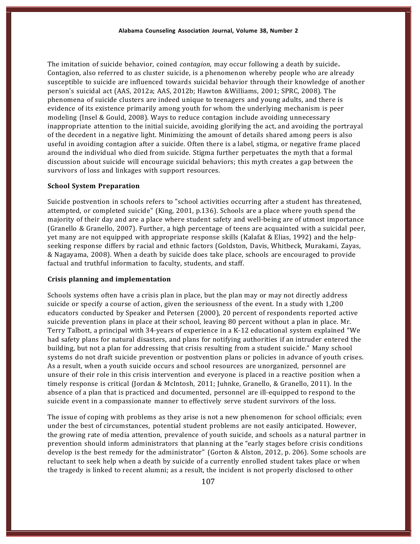The imitation of suicide behavior, coined *contagion*, may occur following a death by suicide**.**  Contagion, also referred to as cluster suicide, is a phenomenon whereby people who are already susceptible to suicide are influenced towards suicidal behavior through their knowledge of another person's suicidal act (AAS, 2012a; AAS, 2012b; Hawton &Williams, 2001; SPRC, 2008). The phenomena of suicide clusters are indeed unique to teenagers and young adults, and there is evidence of its existence primarily among youth for whom the underlying mechanism is peer modeling (Insel & Gould, 2008). Ways to reduce contagion include avoiding unnecessary inappropriate attention to the initial suicide, avoiding glorifying the act, and avoiding the portrayal of the decedent in a negative light. Minimizing the amount of details shared among peers is also useful in avoiding contagion after a suicide. Often there is a label, stigma, or negative frame placed around the individual who died from suicide. Stigma further perpetuates the myth that a formal discussion about suicide will encourage suicidal behaviors; this myth creates a gap between the survivors of loss and linkages with support resources.

#### **School System Preparation**

Suicide postvention in schools refers to "school activities occurring after a student has threatened, attempted, or completed suicide" (King, 2001, p.136). Schools are a place where youth spend the majority of their day and are a place where student safety and well-being are of utmost importance (Granello & Granello, 2007). Further, a high percentage of teens are acquainted with a suicidal peer, yet many are not equipped with appropriate response skills (Kalafat & Elias, 1992) and the helpseeking response differs by racial and ethnic factors (Goldston, Davis, Whitbeck, Murakami, Zayas, & Nagayama, 2008). When a death by suicide does take place, schools are encouraged to provide factual and truthful information to faculty, students, and staff.

#### **Crisis planning and implementation**

Schools systems often have a crisis plan in place, but the plan may or may not directly address suicide or specify a course of action, given the seriousness of the event. In a study with 1,200 educators conducted by Speaker and Petersen (2000), 20 percent of respondents reported active suicide prevention plans in place at their school, leaving 80 percent without a plan in place. Mr. Terry Talbott, a principal with  $34$ -years of experience in a K-12 educational system explained "We had safety plans for natural disasters, and plans for notifying authorities if an intruder entered the building, but not a plan for addressing that crisis resulting from a student suicide." Many school systems do not draft suicide prevention or postvention plans or policies in advance of youth crises. As a result, when a youth suicide occurs and school resources are unorganized, personnel are unsure of their role in this crisis intervention and everyone is placed in a reactive position when a timely response is critical (Jordan & McIntosh, 2011; Juhnke, Granello, & Granello, 2011). In the absence of a plan that is practiced and documented, personnel are ill-equipped to respond to the suicide event in a compassionate manner to effectively serve student survivors of the loss.

The issue of coping with problems as they arise is not a new phenomenon for school officials; even under the best of circumstances, potential student problems are not easily anticipated. However, the growing rate of media attention, prevalence of youth suicide, and schools as a natural partner in prevention should inform administrators that planning at the "early stages before crisis conditions develop is the best remedy for the administrator" (Gorton & Alston, 2012, p. 206). Some schools are reluctant to seek help when a death by suicide of a currently enrolled student takes place or when the tragedy is linked to recent alumni; as a result, the incident is not properly disclosed to other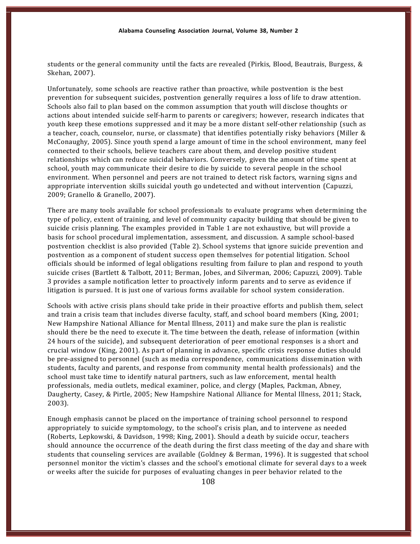students or the general community until the facts are revealed (Pirkis, Blood, Beautrais, Burgess, & Skehan, 2007).

Unfortunately, some schools are reactive rather than proactive, while postvention is the best prevention for subsequent suicides, postvention generally requires a loss of life to draw attention. Schools also fail to plan based on the common assumption that youth will disclose thoughts or actions about intended suicide self-harm to parents or caregivers; however, research indicates that youth keep these emotions suppressed and it may be a more distant self-other relationship (such as a teacher, coach, counselor, nurse, or classmate) that identifies potentially risky behaviors (Miller & McConaughy, 2005). Since youth spend a large amount of time in the school environment, many feel connected to their schools, believe teachers care about them, and develop positive student relationships which can reduce suicidal behaviors. Conversely, given the amount of time spent at school, youth may communicate their desire to die by suicide to several people in the school environment. When personnel and peers are not trained to detect risk factors, warning signs and appropriate intervention skills suicidal youth go undetected and without intervention (Capuzzi, 2009; Granello & Granello, 2007).

There are many tools available for school professionals to evaluate programs when determining the type of policy, extent of training, and level of community capacity building that should be given to suicide crisis planning. The examples provided in Table 1 are not exhaustive, but will provide a basis for school procedural implementation, assessment, and discussion. A sample school-based postvention checklist is also provided (Table 2). School systems that ignore suicide prevention and postvention as a component of student success open themselves for potential litigation. School officials should be informed of legal obligations resulting from failure to plan and respond to youth suicide crises (Bartlett & Talbott, 2011; Berman, Jobes, and Silverman, 2006; Capuzzi, 2009). Table 3 provides a sample notification letter to proactively inform parents and to serve as evidence if litigation is pursued. It is just one of various forms available for school system consideration.

Schools with active crisis plans should take pride in their proactive efforts and publish them, select and train a crisis team that includes diverse faculty, staff, and school board members (King, 2001; New Hampshire National Alliance for Mental Illness, 2011) and make sure the plan is realistic should there be the need to execute it. The time between the death, release of information (within 24 hours of the suicide), and subsequent deterioration of peer emotional responses is a short and crucial window (King, 2001). As part of planning in advance, specific crisis response duties should be pre-assigned to personnel (such as media correspondence, communications dissemination with students, faculty and parents, and response from community mental health professionals) and the school must take time to identify natural partners, such as law enforcement, mental health professionals, media outlets, medical examiner, police, and clergy (Maples, Packman, Abney, Daugherty, Casey, & Pirtle, 2005; New Hampshire National Alliance for Mental Illness, 2011; Stack, 2003).

Enough emphasis cannot be placed on the importance of training school personnel to respond appropriately to suicide symptomology, to the school's crisis plan, and to intervene as needed (Roberts, Lepkowski, & Davidson, 1998; King, 2001). Should a death by suicide occur, teachers should announce the occurrence of the death during the first class meeting of the day and share with students that counseling services are available (Goldney & Berman, 1996). It is suggested that school personnel monitor the victim's classes and the school's emotional climate for several days to a week or weeks after the suicide for purposes of evaluating changes in peer behavior related to the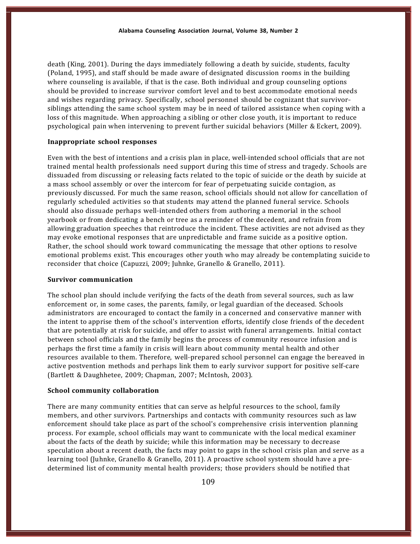death (King, 2001). During the days immediately following a death by suicide, students, faculty (Poland, 1995), and staff should be made aware of designated discussion rooms in the building where counseling is available, if that is the case. Both individual and group counseling options should be provided to increase survivor comfort level and to best accommodate emotional needs and wishes regarding privacy. Specifically, school personnel should be cognizant that survivor-siblings attending the same school system may be in need of tailored assistance when coping with a loss of this magnitude. When approaching a sibling or other close youth, it is important to reduce psychological pain when intervening to prevent further suicidal behaviors (Miller & Eckert, 2009).

#### **Inappropriate school responses**

Even with the best of intentions and a crisis plan in place, well-intended school officials that are not trained mental health professionals need support during this time of stress and tragedy. Schools are dissuaded from discussing or releasing facts related to the topic of suicide or the death by suicide at a mass school assembly or over the intercom for fear of perpetuating suicide contagion, as previously discussed. For much the same reason, school officials should not allow for cancellation of regularly scheduled activities so that students may attend the planned funeral service. Schools should also dissuade perhaps well-intended others from authoring a memorial in the school yearbook or from dedicating a bench or tree as a reminder of the decedent, and refrain from allowing graduation speeches that reintroduce the incident. These activities are not advised as they may evoke emotional responses that are unpredictable and frame suicide as a positive option. Rather, the school should work toward communicating the message that other options to resolve emotional problems exist. This encourages other youth who may already be contemplating suicide to reconsider that choice (Capuzzi, 2009; Juhnke, Granello & Granello, 2011).

#### **Survivor communication**

The school plan should include verifying the facts of the death from several sources, such as law enforcement or, in some cases, the parents, family, or legal guardian of the deceased. Schools administrators are encouraged to contact the family in a concerned and conservative manner with the intent to apprise them of the school's intervention efforts, identify close friends of the decedent that are potentially at risk for suicide, and offer to assist with funeral arrangements. Initial contact between school officials and the family begins the process of community resource infusion and is perhaps the first time a family in crisis will learn about community mental health and other resources available to them. Therefore, well-prepared school personnel can engage the bereaved in active postvention methods and perhaps link them to early survivor support for positive self-care (Bartlett & Daughhetee, 2009; Chapman, 2007; McIntosh, 2003).

#### **School community collaboration**

There are many community entities that can serve as helpful resources to the school, family members, and other survivors. Partnerships and contacts with community resources such as law enforcement should take place as part of the school's comprehensive crisis intervention planning process. For example, school officials may want to communicate with the local medical examiner about the facts of the death by suicide; while this information may be necessary to decrease speculation about a recent death, the facts may point to gaps in the school crisis plan and serve as a learning tool (Juhnke, Granello & Granello, 2011). A proactive school system should have a predetermined list of community mental health providers; those providers should be notified that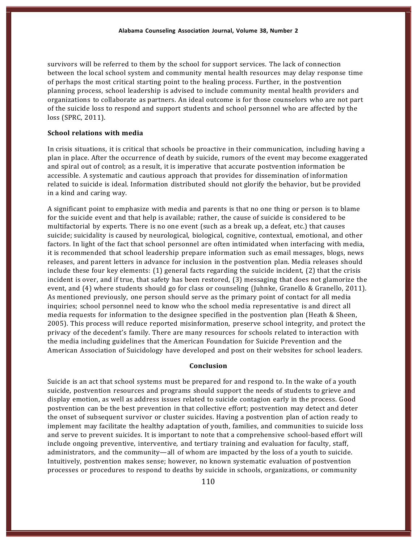survivors will be referred to them by the school for support services. The lack of connection between the local school system and community mental health resources may delay response time of perhaps the most critical starting point to the healing process. Further, in the postvention planning process, school leadership is advised to include community mental health providers and organizations to collaborate as partners. An ideal outcome is for those counselors who are not part of the suicide loss to respond and support students and school personnel who are affected by the loss (SPRC, 2011).

# **School relations with media**

In crisis situations, it is critical that schools be proactive in their communication, including having a plan in place. After the occurrence of death by suicide, rumors of the event may become exaggerated and spiral out of control; as a result, it is imperative that accurate postvention information be accessible. A systematic and cautious approach that provides for dissemination of information related to suicide is ideal. Information distributed should not glorify the behavior, but be provided in a kind and caring way.

A significant point to emphasize with media and parents is that no one thing or person is to blame for the suicide event and that help is available; rather, the cause of suicide is considered to be multifactorial by experts. There is no one event (such as a break up, a defeat, etc.) that causes suicide; suicidality is caused by neurological, biological, cognitive, contextual, emotional, and other factors. In light of the fact that school personnel are often intimidated when interfacing with media, it is recommended that school leadership prepare information such as email messages, blogs, news releases, and parent letters in advance for inclusion in the postvention plan. Media releases should include these four key elements: (1) general facts regarding the suicide incident, (2) that the crisis incident is over, and if true, that safety has been restored, (3) messaging that does not glamorize the event, and (4) where students should go for class or counseling (Juhnke, Granello & Granello, 2011). As mentioned previously, one person should serve as the primary point of contact for all media inquiries; school personnel need to know who the school media representative is and direct all media requests for information to the designee specified in the postvention plan (Heath & Sheen, 2005). This process will reduce reported misinformation, preserve school integrity, and protect the privacy of the decedent's family. There are many resources for schools related to interaction with the media including guidelines that the American Foundation for Suicide Prevention and the American Association of Suicidology have developed and post on their websites for school leaders.

#### **Conclusion**

Suicide is an act that school systems must be prepared for and respond to. In the wake of a youth suicide, postvention resources and programs should support the needs of students to grieve and display emotion, as well as address issues related to suicide contagion early in the process. Good postvention can be the best prevention in that collective effort; postvention may detect and deter the onset of subsequent survivor or cluster suicides. Having a postvention plan of action ready to implement may facilitate the healthy adaptation of youth, families, and communities to suicide loss and serve to prevent suicides. It is important to note that a comprehensive school-based effort will include ongoing preventive, interventive, and tertiary training and evaluation for faculty, staff, administrators, and the community—all of whom are impacted by the loss of a youth to suicide. Intuitively, postvention makes sense; however, no known systematic evaluation of postvention processes or procedures to respond to deaths by suicide in schools, organizations, or community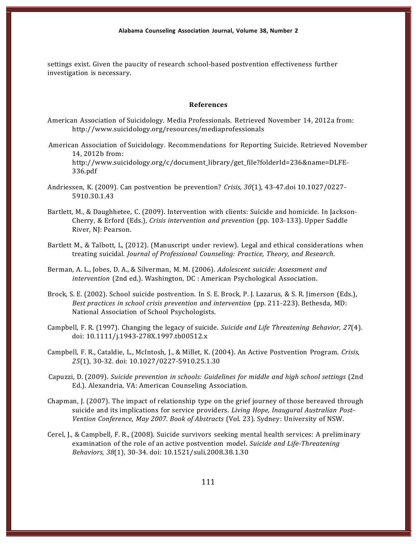settings exist. Given the paucity of research school-based postvention effectiveness further investigation is necessary.

#### **References**

- American Association of Suicidology. Media Professionals. Retrieved November 14, 2012a from: http://www.suicidology.org/resources/mediaprofessionals
- American Association of Suicidology. Recommendations for Reporting Suicide. Retrieved November 14, 2012b from: http://www.suicidology.org/c/document\_library/get\_file?folderId=236&name=DLFE--336.pdf
- Andriessen, K. (2009). Can postvention be prevention? *Crisis, 30*(1), 43-47.doi 10.1027/0227-5910.30.1.43
- Bartlett, M., & Daughhetee, C. (2009). Intervention with clients: Suicide and homicide. In Jackson--Cherry, & Erford (Eds.), *Crisis intervention and prevention* (pp. 103-133). Upper Saddle River, NJ: Pearson.
- Bartlett M., & Talbott, L, (2012). (Manuscript under review). Legal and ethical considerations when treating suicidal*. Journal of Professional Counseling: Practice, Theory, and Research*.
- Berman, A. L., Jobes, D. A., & Silverman, M. M. (2006). *Adolescent suicide: Assessment and intervention* (2nd ed.). Washington, DC : American Psychological Association.
- Brock, S. E. (2002). School suicide postvention. In S. E. Brock, P. J. Lazarus, & S. R. Jimerson (Eds.), *Best practices in school crisis prevention and intervention* (pp. 211–223). Bethesda, MD: National Association of School Psychologists.
- Campbell, F. R. (1997). Changing the legacy of suicide. *Suicide and Life Threatening Behavior, 27*(4). doi: 10.1111/j.1943-278X.1997.tb00512.x
- Campbell, F. R., Cataldie, L., McIntosh, J., & Millet, K. (2004). An Active Postvention Program. *Crisis,* 25(1), 30-32. doi: 10.1027/0227-5910.25.1.30
- Capuzzi, D. (2009). *Suicide prevention in schools: Guidelines for middle and high school settings* (2nd Ed.). Alexandria, VA: American Counseling Association.
- Chapman, J. (2007). The impact of relationship type on the grief journey of those bereaved through suicide and its implications for service providers. *Living Hope, Inaugural Australian Post-Vention Conference, May 2007. Book of Abstracts* (Vol. 23). Sydney: University of NSW.
- Cerel, J., & Campbell, F. R., (2008). Suicide survivors seeking mental health services: A preliminary examination of the role of an active postvention model. *Suicide and Life-Threatening* Behaviors, 38(1), 30-34. doi: 10.1521/suli.2008.38.1.30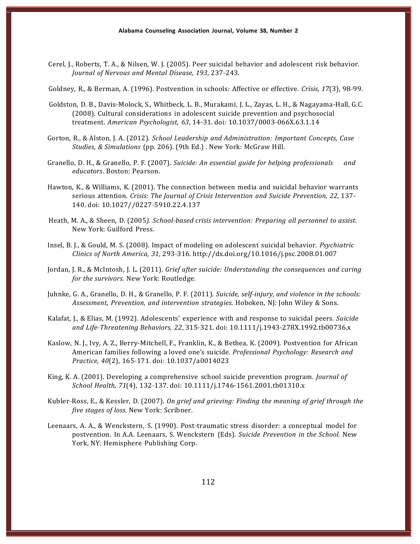Cerel, J., Roberts, T. A., & Nilsen, W. J. (2005). Peer suicidal behavior and adolescent risk behavior. *Journal of Nervous and Mental Disease, 193*, 237---243.

Goldney, R., & Berman, A. (1996). Postvention in schools: Affective or effective. *Crisis*, 17(3), 98-99.

- Goldston, D. B., Davis-Molock, S., Whitbeck, L. B., Murakami, J. L., Zayas, L. H., & Nagayama-Hall, G.C. (2008). Cultural considerations in adolescent suicide prevention and psychosocial treatment. *American Psychologist,* 63, 14-31. doi: 10.1037/0003-066X.63.1.14
- Gorton, R., & Alston, J. A. (2012). *School Leadership and Administration: Important Concepts, Case Studies, & Simulations* (pp. 206). (9th Ed.) . New York: McGraw Hill.
- Granello, D. H., & Granello, P. F. (2007). *Suicide: An essential guide for helping professionals and educators*. Boston: Pearson.
- Hawton, K., & Williams, K. (2001). The connection between media and suicidal behavior warrants serious attention. *Crisis: The Journal of Crisis Intervention and Suicide Prevention, 22*, 137--- 140. doi: 10.1027//0227-5910.22.4.137
- Heath, M. A., & Sheen, D. (2005). *School-based crisis intervention: Preparing all personnel to assist.* New York: Guilford Press.
- Insel, B. J., & Gould, M. S. (2008). Impact of modeling on adolescent suicidal behavior. *Psychiatric Clinics of North America, 31*, 293---316. http://dx.doi.org/10.1016/j.psc.2008.01.007
- Jordan, J. R., & McIntosh, J. L. (2011). *Grief after suicide: Understanding the consequences and caring for the survivors.* New York: Routledge.
- Juhnke, G. A., Granello, D. H., & Granello, P. F. (2011). *Suicide, self-injury, and violence in the schools: Assessment, Prevention, and intervention strategies.* Hoboken, NJ: John Wiley & Sons.
- Kalafat, J., & Elias, M. (1992). Adolescents' experience with and response to suicidal peers. *Suicide* and Life-Threatening Behaviors, 22, 315-321. doi: 10.1111/j.1943-278X.1992.tb00736.x
- Kaslow, N. J., Ivy, A. Z., Berry-Mitchell, F., Franklin, K., & Bethea, K. (2009). Postvention for African American families following a loved one's suicide*. Professional Psychology: Research and Practice, 40*(2), 165-171. doi: 10.1037/a0014023
- King, K. A. (2001). Developing a comprehensive school suicide prevention program. *Journal of School Health,* 71(4), 132-137. doi: 10.1111/j.1746-1561.2001.tb01310.x
- Kubler-Ross, E., & Kessler, D. (2007). *On grief and grieving: Finding the meaning of grief through the five stages of loss.* New York: Scribner.
- Leenaars, A. A., & Wenckstern, S. (1990). Post-traumatic stress disorder: a conceptual model for postvention. In A.A. Leenaars, S. Wenckstern (Eds). *Suicide Prevention in the School.* New York, NY: Hemisphere Publishing Corp.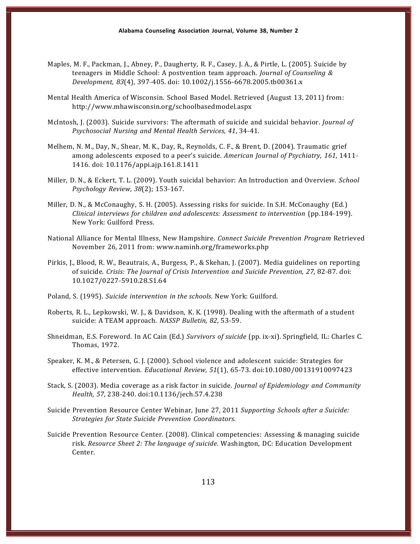- Maples, M. F., Packman, J., Abney, P., Daugherty, R. F., Casey, J. A., & Pirtle, L. (2005). Suicide by teenagers in Middle School: A postvention team approach. *Journal of Counseling & Development, 83*(4), 397-405. doi: 10.1002/j.1556-6678.2005.tb00361.x
- Mental Health America of Wisconsin. School Based Model. Retrieved (August 13, 2011) from: http://www.mhawisconsin.org/schoolbasedmodel.aspx
- McIntosh, J. (2003). Suicide survivors: The aftermath of suicide and suicidal behavior. *Journal of Psychosocial Nursing and Mental Health Services, 41, 34-41.*
- Melhem, N. M., Day, N., Shear, M. K., Day, R., Reynolds, C. F., & Brent, D. (2004). Traumatic grief among adolescents exposed to a peer's suicide. *American Journal of Psychiatry, 161*, 1411--- 1416. doi: 10.1176/appi.ajp.161.8.1411
- Miller, D. N., & Eckert, T. L. (2009). Youth suicidal behavior: An Introduction and Overview. *School Psychology Review, 38*(2); 153-167.
- Miller, D. N., & McConaughy, S. H. (2005). Assessing risks for suicide. In S.H. McConaughy (Ed.) *Clinical interviews for children and adolescents: Assessment to intervention (pp.184-199).* New York: Guilford Press.
- National Alliance for Mental Illness, New Hampshire. *Connect Suicide Prevention Program* Retrieved November 26, 2011 from: www.naminh.org/frameworks.php
- Pirkis, J., Blood, R. W., Beautrais, A., Burgess, P., & Skehan, J. (2007). Media guidelines on reporting of suicide. *Crisis: The Journal of Crisis Intervention and Suicide Prevention, 27*, 82---87. doi: 10.1027/0227-5910.28.S1.64
- Poland, S. (1995). *Suicide intervention in the schools*. New York: Guilford.
- Roberts, R. L., Lepkowski, W. J., & Davidson, K. K. (1998). Dealing with the aftermath of a student suicide: A TEAM approach. *NASSP Bulletin, 82,* 53-59.
- Shneidman, E.S. Foreword. In AC Cain (Ed.) *Survivors of suicide* (pp. ix-xi). Springfield, IL: Charles C. Thomas, 1972.
- Speaker, K. M., & Petersen, G. J. (2000). School violence and adolescent suicide: Strategies for effective intervention. *Educational Review,* 51(1), 65-73. doi:10.1080/00131910097423
- Stack, S. (2003). Media coverage as a risk factor in suicide. *Journal of Epidemiology and Community* Health, 57, 238-240. doi:10.1136/jech.57.4.238
- Suicide Prevention Resource Center Webinar, June 27, 2011 *Supporting Schools after a Suicide: Strategies for State Suicide Prevention Coordinators.*
- Suicide Prevention Resource Center. (2008). Clinical competencies: Assessing & managing suicide risk. *Resource Sheet 2: The language of suicide*. Washington, DC: Education Development Center.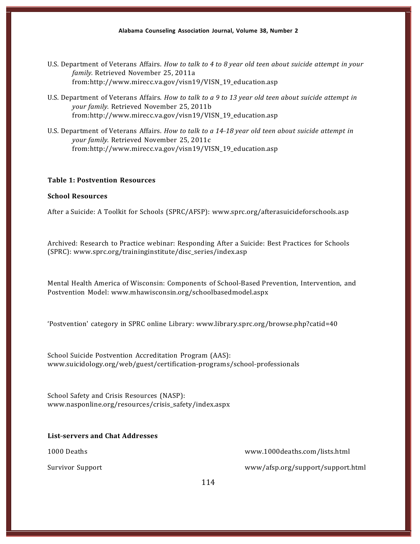- U.S. Department of Veterans Affairs. *How to talk to 4 to 8 year old teen about suicide attempt in your family.* Retrieved November 25, 2011a from:http://www.mirecc.va.gov/visn19/VISN\_19\_education.asp
- U.S. Department of Veterans Affairs. *How to talk to a 9 to 13 year old teen about suicide attempt in your family.* Retrieved November 25, 2011b from:http://www.mirecc.va.gov/visn19/VISN\_19\_education.asp
- U.S. Department of Veterans Affairs. *How to talk to a 14-18 year old teen about suicide attempt in your family.* Retrieved November 25, 2011c from:http://www.mirecc.va.gov/visn19/VISN\_19\_education.asp

#### **Table 1: Postvention Resources**

#### **School Resources**

After a Suicide: A Toolkit for Schools (SPRC/AFSP): www.sprc.org/afterasuicideforschools.asp

Archived: Research to Practice webinar: Responding After a Suicide: Best Practices for Schools (SPRC): www.sprc.org/traininginstitute/disc\_series/index.asp

Mental Health America of Wisconsin: Components of School-Based Prevention, Intervention, and Postvention Model: www.mhawisconsin.org/schoolbasedmodel.aspx

'Postvention' category in SPRC online Library: www.library.sprc.org/browse.php?catid=40

School Suicide Postvention Accreditation Program (AAS): www.suicidology.org/web/guest/certification-programs/school-professionals

School Safety and Crisis Resources (NASP): www.nasponline.org/resources/crisis\_safety/index.aspx

# **List-servers and Chat Addresses**

1000 Deaths www.1000deaths.com/lists.html

Survivor Support www/afsp.org/support/support.html

114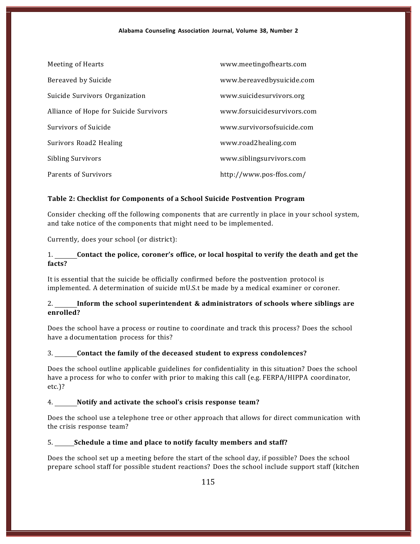| Meeting of Hearts                      | www.meetingofhearts.com     |
|----------------------------------------|-----------------------------|
| Bereaved by Suicide                    | www.bereavedbysuicide.com   |
| Suicide Survivors Organization         | www.suicidesurvivors.org    |
| Alliance of Hope for Suicide Survivors | www.forsuicidesurvivors.com |
| Survivors of Suicide                   | www.survivorsofsuicide.com  |
| Surivors Road2 Healing                 | www.road2healing.com        |
| <b>Sibling Survivors</b>               | www.siblingsurvivors.com    |
| Parents of Survivors                   | http://www.pos-ffos.com/    |

# **Table 2: Checklist for Components of a School Suicide Postvention Program**

Consider checking off the following components that are currently in place in your school system, and take notice of the components that might need to be implemented.

Currently, does your school (or district):

# 1. **Contact the police, coroner's office, or local hospital to verify the death and get the facts?**

It is essential that the suicide be officially confirmed before the postvention protocol is implemented. A determination of suicide mU.S.t be made by a medical examiner or coroner.

# 2. **Inform the school superintendent & administrators of schools where siblings are enrolled?**

Does the school have a process or routine to coordinate and track this process? Does the school have a documentation process for this?

# 3. **Contact the family of the deceased student to express condolences?**

Does the school outline applicable guidelines for confidentiality in this situation? Does the school have a process for who to confer with prior to making this call (e.g. FERPA/HIPPA coordinator, etc.)?

# 4. **Notify and activate the school's crisis response team?**

Does the school use a telephone tree or other approach that allows for direct communication with the crisis response team?

5. **Schedule a time and place to notify faculty members and staff?**

Does the school set up a meeting before the start of the school day, if possible? Does the school prepare school staff for possible student reactions? Does the school include support staff (kitchen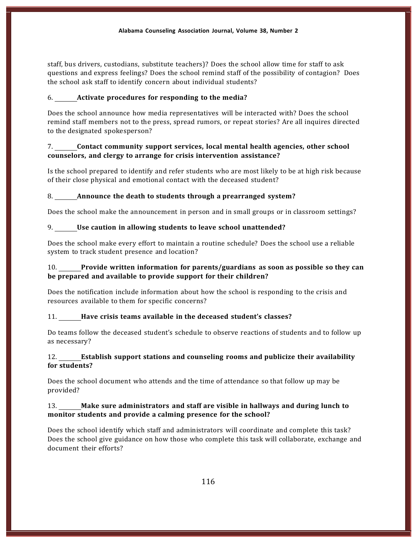staff, bus drivers, custodians, substitute teachers)? Does the school allow time for staff to ask questions and express feelings? Does the school remind staff of the possibility of contagion? Does the school ask staff to identify concern about individual students?

# 6. **Activate procedures for responding to the media?**

Does the school announce how media representatives will be interacted with? Does the school remind staff members not to the press, spread rumors, or repeat stories? Are all inquires directed to the designated spokesperson?

# 7. **Contact community support services, local mental health agencies, other school counselors, and clergy to arrange for crisis intervention assistance?**

Is the school prepared to identify and refer students who are most likely to be at high risk because of their close physical and emotional contact with the deceased student?

# 8. **Announce the death to students through a prearranged system?**

Does the school make the announcement in person and in small groups or in classroom settings?

# 9. **Use caution in allowing students to leave school unattended?**

Does the school make every effort to maintain a routine schedule? Does the school use a reliable system to track student presence and location?

# 10. **Provide written information for parents/guardians as soon as possible so they can be prepared and available to provide support for their children?**

Does the notification include information about how the school is responding to the crisis and resources available to them for specific concerns?

#### 11. **Have crisis teams available in the deceased student's classes?**

Do teams follow the deceased student's schedule to observe reactions of students and to follow up as necessary?

# 12. **Establish support stations and counseling rooms and publicize their availability for students?**

Does the school document who attends and the time of attendance so that follow up may be provided?

# 13. **Make sure administrators and staff are visible in hallways and during lunch to monitor students and provide a calming presence for the school?**

Does the school identify which staff and administrators will coordinate and complete this task? Does the school give guidance on how those who complete this task will collaborate, exchange and document their efforts?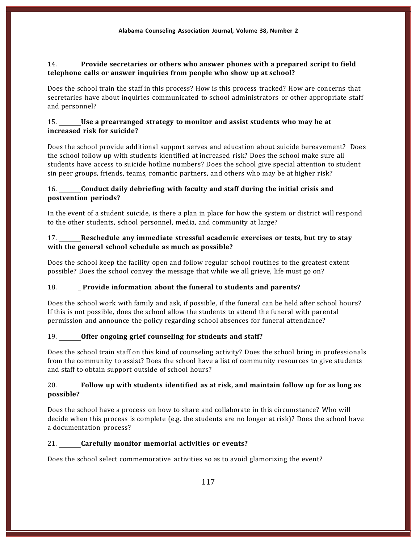# 14. **Provide secretaries or others who answer phones with a prepared script to field telephone calls or answer inquiries from people who show up at school?**

Does the school train the staff in this process? How is this process tracked? How are concerns that secretaries have about inquiries communicated to school administrators or other appropriate staff and personnel?

# 15. **Use a prearranged strategy to monitor and assist students who may be at increased risk for suicide?**

Does the school provide additional support serves and education about suicide bereavement? Does the school follow up with students identified at increased risk? Does the school make sure all students have access to suicide hotline numbers? Does the school give special attention to student sin peer groups, friends, teams, romantic partners, and others who may be at higher risk?

# 16. **Conduct daily debriefing with faculty and staff during the initial crisis and postvention periods?**

In the event of a student suicide, is there a plan in place for how the system or district will respond to the other students, school personnel, media, and community at large?

# 17. **Reschedule any immediate stressful academic exercises or tests, but try to stay with the general school schedule as much as possible?**

Does the school keep the facility open and follow regular school routines to the greatest extent possible? Does the school convey the message that while we all grieve, life must go on?

# 18. \_ **Provide information about the funeral to students and parents?**

Does the school work with family and ask, if possible, if the funeral can be held after school hours? If this is not possible, does the school allow the students to attend the funeral with parental permission and announce the policy regarding school absences for funeral attendance?

# 19. **Offer ongoing grief counseling for students and staff?**

Does the school train staff on this kind of counseling activity? Does the school bring in professionals from the community to assist? Does the school have a list of community resources to give students and staff to obtain support outside of school hours?

# 20. **Follow up with students identified as at risk, and maintain follow up for as long as possible?**

Does the school have a process on how to share and collaborate in this circumstance? Who will decide when this process is complete (e.g. the students are no longer at risk)? Does the school have a documentation process?

# 21. **Carefully monitor memorial activities or events?**

Does the school select commemorative activities so as to avoid glamorizing the event?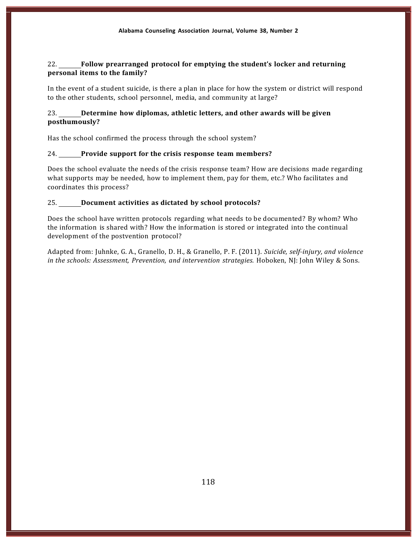# 22. **Follow prearranged protocol for emptying the student's locker and returning personal items to the family?**

In the event of a student suicide, is there a plan in place for how the system or district will respond to the other students, school personnel, media, and community at large?

# 23. **Determine how diplomas, athletic letters, and other awards will be given posthumously?**

Has the school confirmed the process through the school system?

#### 24. **Provide support for the crisis response team members?**

Does the school evaluate the needs of the crisis response team? How are decisions made regarding what supports may be needed, how to implement them, pay for them, etc.? Who facilitates and coordinates this process?

#### 25. **Document activities as dictated by school protocols?**

Does the school have written protocols regarding what needs to be documented? By whom? Who the information is shared with? How the information is stored or integrated into the continual development of the postvention protocol?

Adapted from: Juhnke, G. A., Granello, D. H., & Granello, P. F. (2011). *Suicide, self-injury, and violence in the schools: Assessment, Prevention, and intervention strategies.* Hoboken, NJ: John Wiley & Sons.